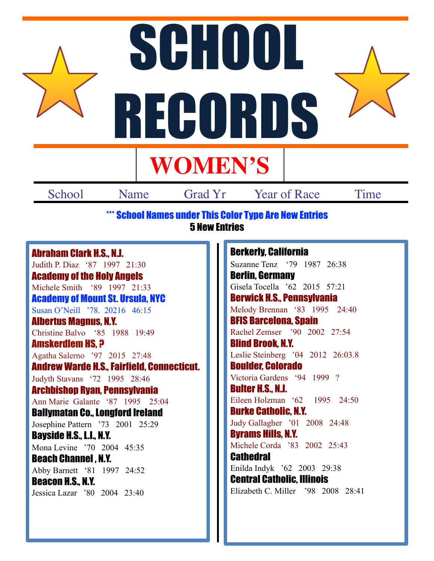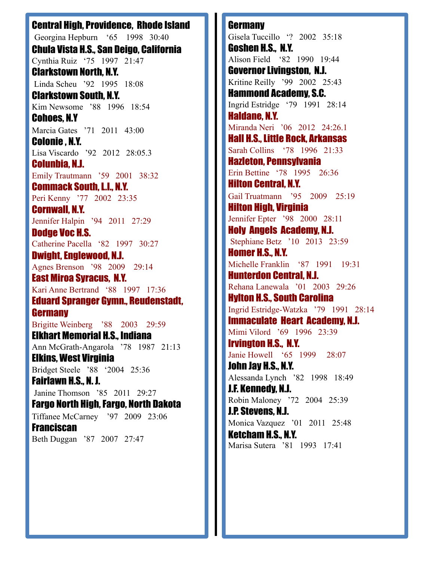Central High, Providence, Rhode Island Georgina Hepburn '65 1998 30:40 Chula Vista H.S., San Deigo, California Cynthia Ruiz '75 1997 21:47 Clarkstown North, N.Y. Linda Scheu '92 1995 18:08 Clarkstown South, N.Y. Kim Newsome '88 1996 18:54 Cohoes, N.Y Marcia Gates '71 2011 43:00 Colonie , N.Y. Lisa Viscardo '92 2012 28:05.3 Colunbia, N.J. Emily Trautmann '59 2001 38:32 Commack South, L.I., N.Y. Peri Kenny '77 2002 23:35 Cornwall, N.Y. Jennifer Halpin '94 2011 27:29 Dodge Voc H.S. Catherine Pacella '82 1997 30:27 Dwight, Englewood, N.J. Agnes Brenson '98 2009 29:14 East Miroa Syracus, N.Y. Kari Anne Bertrand '88 1997 17:36 Eduard Spranger Gymn., Reudenstadt, **Germany** Brigitte Weinberg '88 2003 29:59 Elkhart Memorial H.S., Indiana Ann McGrath-Angarola '78 1987 21:13 Elkins, West Virginia Bridget Steele '88 '2004 25:36 Fairlawn H.S., N. J. Janine Thomson '85 2011 29:27 Fargo North High, Fargo, North Dakota Tiffanee McCarney '97 2009 23:06 **Franciscan** Beth Duggan '87 2007 27:47

**Germany** Gisela Tuccillo '? 2002 35:18 Goshen H.S., N.Y. Alison Field '82 1990 19:44 Governor Livingston, N.J. Kritine Reilly '99 2002 25:43 Hammond Academy, S.C. Ingrid Estridge '79 1991 28:14 Haldane, N.Y. Miranda Neri '06 2012 24:26.1 Hall H.S., Little Rock, Arkansas Sarah Collins '78 1996 21:33 Hazleton, Pennsylvania Erin Bettine '78 1995 26:36 Hilton Central, N.Y. Gail Truatmann '95 2009 25:19 Hilton High, Virginia Jennifer Epter '98 2000 28:11 Holy Angels Academy, N.J. Stephiane Betz '10 2013 23:59 Homer H.S., N.Y. Michelle Franklin '87 1991 19:31 Hunterdon Central, N.J. Rehana Lanewala '01 2003 29:26 Hylton H.S., South Carolina Ingrid Estridge-Watzka '79 1991 28:14 Immaculate Heart Academy, N.J. Mimi Vilord '69 1996 23:39 Irvington H.S., N.Y. Janie Howell '65 1999 28:07 John Jay H.S., N.Y. Alessanda Lynch '82 1998 18:49 J.F. Kennedy, N.J. Robin Maloney '72 2004 25:39 J.P. Stevens, N.J. Monica Vazquez '01 2011 25:48 Ketcham H.S., N.Y. Marisa Sutera '81 1993 17:41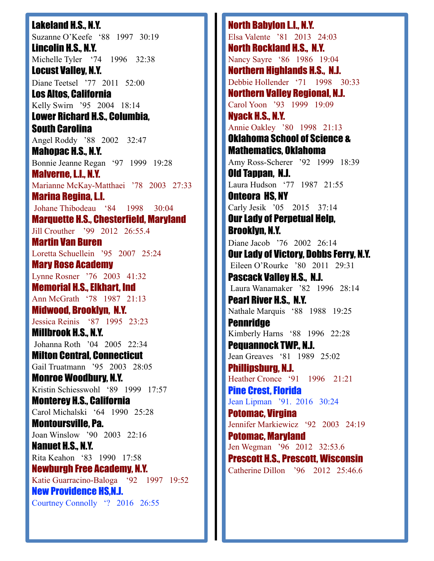Lakeland H.S., N.Y. Suzanne O'Keefe '88 1997 30:19 Lincolin H.S., N.Y. Michelle Tyler '74 1996 32:38 Locust Valley, N.Y. Diane Teetsel '77 2011 52:00 Los Altos, California Kelly Swirn '95 2004 18:14 Lower Richard H.S., Columbia, South Carolina Angel Roddy '88 2002 32:47 Mahopac H.S., N.Y. Bonnie Jeanne Regan '97 1999 19:28 Malverne, L.I., N.Y. Marianne McKay-Matthaei '78 2003 27:33 Marina Regina, L.I. Johane Thibodeau '84 1998 30:04 Marquette H.S., Chesterfield, Maryland Jill Crouther '99 2012 26:55.4 Martin Van Buren Loretta Schuellein '95 2007 25:24 Mary Rose Academy Lynne Rosner '76 2003 41:32 Memorial H.S., Elkhart, Ind Ann McGrath '78 1987 21:13 Midwood, Brooklyn, N.Y. Jessica Reinis '87 1995 23:23 Millbrook H.S., N.Y. Johanna Roth '04 2005 22:34 Milton Central, Connecticut Gail Truatmann '95 2003 28:05 Monroe Woodbury, N.Y. Kristin Schiesswohl '89 1999 17:57 Monterey H.S., California Carol Michalski '64 1990 25:28 Montoursville, Pa. Joan Winslow '90 2003 22:16 Nanuet H.S., N.Y. Rita Keahon '83 1990 17:58 Newburgh Free Academy, N.Y. Katie Guarracino-Baloga '92 1997 19:52 New Providence HS,N.J. Courtney Connolly '? 2016 26:55

North Babylon L.I., N.Y. Elsa Valente '81 2013 24:03 North Rockland H.S., N.Y. Nancy Sayre '86 1986 19:04 Northern Highlands H.S., N.J. Debbie Hollender '71 1998 30:33 Northern Valley Regional, N.J. Carol Yoon '93 1999 19:09 Nyack H.S., N.Y. Annie Oakley '80 1998 21:13 Oklahoma School of Science & Mathematics, Oklahoma Amy Ross-Scherer '92 1999 18:39 Old Tappan, N.J. Laura Hudson '77 1987 21:55 Onteora HS, NY Carly Jesik '05 2015 37:14 Our Lady of Perpetual Help, Brooklyn, N.Y. Diane Jacob '76 2002 26:14 Our Lady of Victory, Dobbs Ferry, N.Y. Eileen O'Rourke '80 2011 29:31 Pascack Valley H.S., N.J. Laura Wanamaker '82 1996 28:14 Pearl River H.S., N.Y. Nathale Marquis '88 1988 19:25 **Pennridge** Kimberly Harns '88 1996 22:28 Pequannock TWP., N.J. Jean Greaves '81 1989 25:02 Phillipsburg, N.J. Heather Cronce '91 1996 21:21 Pine Crest, Florida Jean Lipman '91. 2016 30:24 Potomac, Virgina Jennifer Markiewicz '92 2003 24:19 Potomac, Maryland Jen Wegman '96 2012 32:53.6 Prescott H.S., Prescott, Wisconsin Catherine Dillon '96 2012 25:46.6